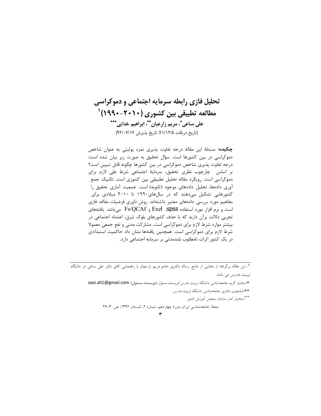# تحلیل فازی رابطه سرمایه اجتماعی و دموکراسی مطالعه تطبیقی بین کشوری (۲۰۱۰–۱۹۹۰) <sup>۱</sup> على ساعي"، مريم زارعيان""، ابراهيم خدايي."\*\* (تاريخ دريافت ٩١/١٢/٥، تاريخ پذيرش ٩٢/٠٧/١٧)

**چکیده:** مسئلهٔ این مقاله درجه تفاوت پذیری نمره پولیتی به عنوان شاخص دموکراسی در بین کشورها است. سؤال تحقیق به صورت زیر بیان شده است: درجه تفاوت پذیری شاخص دموکراسی در بین کشورها چگونه قابل تبیین است؟ بر اساس چارچوب نظری تحقیق، سرمایهٔ اجتماعی شرط علی لازم برای دموکراسی است. رویکرد مقاله تحلیل تطبیقی بین کشوری است. تکنیک جمع آوری دادهها، تحلیل دادههای موجود (ثانویه) است. جمعیت آماری تحقیق را کشورهایی تشکیل میدهند که در سالهای ۱۹۹۰ تا ۲۰۱۰ میلادی برای مفاهیم مورد بررسی دادههای معتبر داشتهاند. روش داوری فرضیات مقاله، فازی است و نرم افزار مورد استفاده Exel ،SpSS و Fs/QCAf می باشد. یافتههای تجربی دلالت برآن دارند که با حذف کشورهای بلوک شرق، اعتماد اجتماعی در بیشتر موارد شرط لازم برای دموکراسی است. مشارکت مدنی و نفع جمعی معمولا شرط لازم برای دموکراسی است. همچنین یافتهها نشان داد حاکمیت استبدادی در یک کشور اثرات نامطلوب بلندمدتی بر سرمایه اجتماعی دارد.

۱. این مقاله برگرفته از بخشی از نتایج رساله دکتری خانم مریم زارعیان با راهنمایی آقای دکتر عل<sub>ی</sub> ساعی در داشگاه تربیت مدرس می باشد.

\*استاديار گروه جامعهشناسي دانشگاه تربيت مدرس(نويسنده مسئول (نويسنده مسئول) saei.ali1@gmail.com

\*\*دانشجوی دکتری جامعهشناسی دانشگاه تربیت مدرس

\*\*\*استاديار اَمار سازمان سنجش اَموزش كشور

مجلة جامعهشناسي ايران، دورة چهاردهم، شمارة ٢، تابستان ١٣٩٢، ص. ٣-٢٩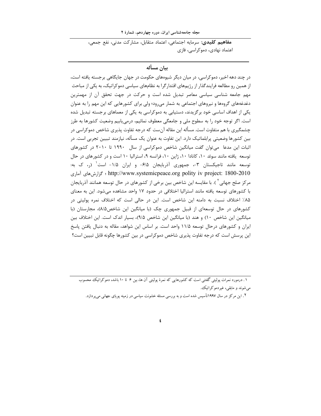مجله جامعهشناسی ایران، دوره چهاردهم، شمارهٔ ۲

مفاهيم كليدى: سرمايه اجتماعي، اعتماد متقابل، مشاركت مدنى، نفع جمعى، اعتماد نهادی، دموکراسی، فازی

#### يبان مسأله

در چند دهه اخیر، دموکراسی، در میان دیگر شیوههای حکومت در جهان جایگاهی برجسته یافته است، از همین رو مطالعه فرایندگذار از رژیمهای اقتدارگرا به نظامهای سیاسی دموکراتیک، به یکی از مباحث مهم جامعه شناسی سیاسی معاصر تبدیل شده است و حرکت در جهت تحقق آن از مهمترین دغدغههای گروهها و نیروهای اجتماعی به شمار میرود؛ ولی برای کشورهایی که این مهم را به عنوان یکی از اهداف اساسی خود برگزیدند، دستیابی به دموکراسی به یکی از معماهای برجسته تبدیل شده است. اگر توجه خود را به سطوح ملی و جامعگی معطوف نمائیم، درمی یابیم وضعیت کشورها به طرز چشمگیری با هم متفاوت است. مسأله این مقاله آنست که درجه تفاوت پذیری شاخص دموکراسی در بین کشورها وضعیتی پرابلماتیک دارد. این تفاوت به عنوان یک مسأله، نیازمند تبیین تجربی است. در اثبات این مدعا ً می توان گفت میانگین شاخص دموکراسی از سال ۱۹۹۰ تا ۲۰۱۰ در کشورهای توسعه یافته مانند سوئد ۱۰، کانادا ۱۰، ژاپن ۱۰، فرانسه ۹، استرالیا ۱۰ است و در کشورهای در حال توسعه مانند تاجیکستان ۳-، جمهوری آذربایجان ۶/۵- و ایران ۱/۵- است ٰ (,، ک به: http://www.systemicpeace.org polity iv project: 1800-2010 ؛ كزارش هاى آمارى مرکز صلح جهانی آ ). با مقایسه این شاخص بین برخی از کشورهای در حال توسعه همانند آذربایجان با کشورهای توسعه یافته مانند استرالیا اختلافی در حدود ۱۷ واحد مشاهده میشود. این به معنای ۸۵٪ اختلاف نسبت به دامنه این شاخص است. این در حالی است که اختلاف نمره پولیتی در کشورهای در حال توسعهای از قبیل جمهوری چک (با میانگین این شاخص۸/۵)، مجارستان (با میانگین این شاخص ۱۰) و هند (با میانگین این شاخص ۹/۵)، بسیار اندک است. این اختلاف بین ایران و کشورهای درحال توسعه ۱۱/۵ واحد است. بر اساس این شواهد، مقاله به دنبال یافتن پاسخ این پرسش است که درجه تفاوت پذیری شاخص دموکراسی در بین کشورها چگونه قابل تبیین است؟

۱. درمورد نمرات یولیتی گفتنی است که کشورهایی که نمرهٔ یولیتی آن ها، بین ۶ تا ۱۰ باشد، دموکراتیک محسوب میشوند و مابقی، غیردموکراتیک.

۲ . این مرکز در سال ۱۹۹۷تأسیس شده است و به بررسی مسئله خشونت سیاسی در زمینه پویای جهانی میپردازد.

 $\pmb{\epsilon}$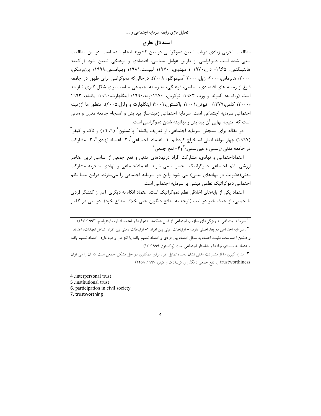#### استدلال نظري

مطالعات تجربی زیادی درباب تبیین دموکراسی در بین کشورها انجام شده است. در این مطالعات سعی شده است دموکراسی از طریق عوامل سیاسی، اقتصادی و فرهنگی تبیین شود (5..به: هانتينگتون، ۱۹۶۵؛ دال،۱۹۷۰ ؛ مهدوی، ۱۹۷۰؛ ليپست،۱۹۸۱؛ ويليامسون،۱۹۹۸؛ پرژورسكي، ۲۰۰۰؛ هابرماس،۲۰۰۰؛ ژیل،۲۰۰۰ آسیموگلو، ۲۰۰۸). درحالی که دموکراسی برای ظهور در جامعه فارغ از زمینه های اقتصادی، سیاسی، فرهنگی، به زمینه اجتماعی مناسب برای شکل گیری نیازمند است (2. ك.به: آلموند و وربا، ١٩۶٣؛ توكويل، ١٩٧٠ اوفه،١٩٩٠؛ اينگلهارت،١٩٩٠؛ ياتنام، ١٩٩٣ ۲۰۰۰؛ کلمن،۱۳۷۷؛ نیوتن،۲۰۰۱؛ پاکستون،۲۰۰۲؛ اینگلهارت و ولزل،۲۰۰۵). منظور ما اززمینه اجتماعي سرمايه اجتماعي است. سرمايه اجتماعي زمينهساز پيدايش و انسجام جامعه مدرن و مدني است که نتیجه نهایی آن پیدایش و نهادینه شدن دموکراسی است.

در مقاله برای سنجش سرمایه اجتماعی، از تعاریف پاتنام` پاکستون ّ (۱۹۹۹) و ناک و کیفر ّ (١٩٩٧) چهار مولفه اصلي استخراج كردهايم: ١- اعتماد اجتماعي أ . ٢- اعتماد نهادي ْ ، ٣- مشاركت در جامعه مدنی (رسمی و غیررسمی) <sup>۶</sup> و۴- نفع جمعی <sup>۷</sup>

اعتماداجتماعی و نهادی، مشارکت افراد درنهادهای مدنی و نفع جمعی از اساسی ترین عناصر ارزشی نظم اجتماعی دموکراتیک محسوب می شوند. اعتماداجتماعی و نهادی منجربه مشارکت مدنی(عضویت در نهادهای مدنی) می شود واین دو سرمایه اجتماعی را میسازند. دراین معنا نظم اجتماعی دموکراتیک نظمی مبتنی بر سرمایه اجتماعی است.

اعتماد یکی از پایههای اخلاقی نظم دموکراتیک است. اعتماد اتکاء به دیگری، اعم از کنشگر فردی یا جمعی، از حیث خیر در نیت (توجه به منافع دیگران حتی خلاف منافع خود)، درستی در گفتار

۱ .سرمایه اجتماعی به ویژگیهای سازمان اجتماعی از قبیل شبکهها، هنجارها و اعتماد اشاره دارد(پاتنام، ۱۹۹۳: ۱۶۷) ٢. سرمايه اجتماعي دو بعد اصلي دارد: ١- ارتباطات عيني بين افراد ٢- ارتباطات ذهني بين افراد شامل تعهدات، اعتماد و داشتن احساسات مثبت. اعتماد به شكل اعتماد بين فردى و اعتماد تعميم يافته يا انتزاعى وجود دارد . اعتماد تعميم يافته ، اعتماد به سیستم، نهادها و شاختار اجتماعی است (پاکستون،۱۹۹۹: ۱۳).

۳ .اندازه گیری ما از مشارکت مدنی نشان دهنده تمایل افراد برای همکاری در حل مشکل جمعی است که آن را می توان trustworthiness یا نفع جمعی نامگذاری کرد.(ناک و کیفر، ۱۹۹۷: ۱۲۵۸)

ە

4 .interpersonal trust

5 .institutional trust

6. participation in civil society

7. trustworthing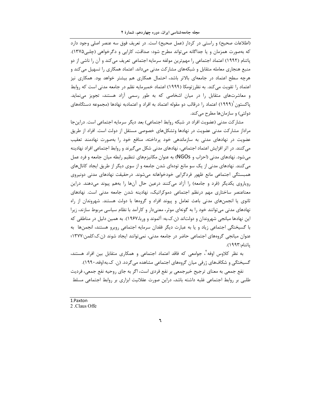(اطلاعات صحیح) و راستی در کردار (عمل صحیح) است. در تعریف فوق سه عنصر اصلی وجود دارد که بهصورت همزمان و یا جداگانه می¤واند مطرح شود: صداقت، کارایی و دگرخواهی (چلبی۱۳۷۵). پاتنام (۱۹۹۲) اعتماد اجتماعی را مهمترین مولفه سرمایه اجتماعی تعریف میکند و آن را ناشی از دو منبع هنجاری معامله متقابل و شبکههای مشارکت مدنی میداند. اعتماد همکاری را تسهیل می کند و هرچه سطح اعتماد در جامعهای بالاتر باشد، احتمال همکاری هم بیشتر خواهد بود. همکاری نیز اعتماد را تقویت می کند. به نظرزتومکا (۱۹۹۹) اعتماد خمیرمایه نظم در جامعه مدنی است که روابط و معاشرتهای متقابل را در میان اشخاصی که به طور رسمی آزاد هستند، تجویز می،نماید. یاکستون (۱۹۹۹) اعتماد را درقالب دو مقوله اعتماد به افراد و اعتمادبه نهادها (مجموعه دستگاههای دولتے) و سازمانھا مطرح مے کند.

مشار کت مدنی (عضویت افراد در شبکه روابط اجتماعی) بعد دیگر سرمایه اجتماعی است. دراین جا مراداز مشارکت مدنی عضویت در نهادها وتشکلهای خصوصی مستقل از دولت است. افراد از طریق عضویت در نهادهای مدنی به سازماندهی خود پرداخته، منافع خود را بهصورت نهادمند تعقیب می کنند. در اثر افزایش اعتماد اجتماعی، نهادهای مدنی شکل می گیرند و روابط اجتماعی افراد نهادینه میشود. نهادهای مدنی (احزاب و NGOs) به عنوان مکانیزمهای تنظیم رابطه میان جامعه و فرد عمل می کنند. نهادهای مدنی از یک سو مانع تودهای شدن جامعه و از سوی دیگر از طریق ایجاد کانالهای همبستگی اجتماعی مانع ظهور فردگرایی خودخواهانه میشوند. درحقیقت نهادهای مدنی دونیروی رویاروی یکدیگر (فرد و جامعه) را آزاد میکنند درعین حال آنها را بههم پیوند میدهند. دراین معناعنصر ساختاری مهم درنظم اجتماعی دموکراتیک، نهادینه شدن جامعه مدنی است. نهادهای ثانوی یا انجمنهای مدنی باعث تعامل و پیوند افراد و گروهها با دولت هستند. شهروندان از راه نهادهای مدنی میتوانند خود را به گونهای موثر، معنیدار و کارآمد با نظام سیاسی مربوط سازند، زیرا این نهادها میانجی شهروندان و دولتاند (ن.ک.به: آلموند و وربا،۱۹۶۷). به همین دلیل در مناطقی که با گسیختگی اجتماعی زیاد و یا به عبارت دیگر فقدان سرمایه اجتماعی روبرو هستند، انجمنها به عنوان میانجی گروههای اجتماعی حاضر در جامعه مدنی، نمی توانند ایجاد شوند (ن.ک:کلمن:۱۳۷۷؛ ياتنام:١٩٩٣).

به نظر کلاوس اوفه`، جوامعی که فاقد اعتماد اجتماعی و همکاری متقابل بین افراد هستند، گسیختگی و شکافهای ژرفی میان گروههای اجتماعی مشاهده میگردد. (ن. ک.به:اوفه،۱۹۹۰).

نفع جمعی به معنای ترجیح خیرجمعی بر نفع فردی است، اگر به جای روحیه نفع جمعی، فردیت طلبی بر روابط اجتماعی غلبه داشته باشد، دراین صورت عقلانیت ابزاری بر روابط اجتماعی مسلط

1.Paxton 2. Claus Offe

٦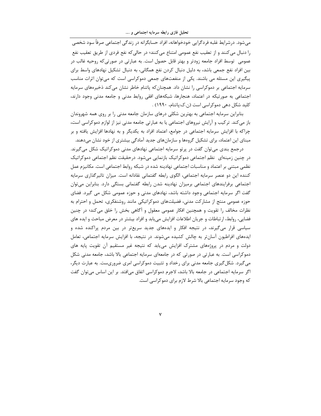تحلیل فازی رابطه سرمایه اجتماعی و ….

می شود. در شرایط غلبه فردگرایی خودخواهانه، افراد حسابگرانه در زندگی اجتماعی صرفاً سود شخصی را دنبال می کنند و از تعقیب نفع عمومی امتناع می کنند؛ در حالی که نفع فردی از طریق تعقیب نفع عمومی۔توسط افراد جامعه زودتر و بهتر قابل حصول است. به عبارتی در صورتیکه روحیه غالب در بین افراد نفع جمعی باشد، به دلیل دنبال کردن نفع همگانی، به دنبال تشکیل نهادهای واسط برای پیگیری این مسئله می باشند. یکی از منفعتهای جمعی دموکراسی است که می توان اثرات مناسب سرمایه اجتماعی بر دموکراسی را نشان داد. همچنان که پاتنام خاطر نشان می کند ذخیرههای سرمایه اجتماعی به صورتیکه در اعتماد، هنجارها، شبکههای افقی روابط مدنی و جامعه مدنی وجود دارند، کلید شکل دهی دموکراسی است (ن.ک:پاتنام، ۱۹۹۰) .

بنابراین سرمایه اجتماعی به بهترین شکلی درهای سازمان جامعه مدنی را بر روی همه شهروندان باز می کند. تر کیب و آرایش نیروهای اجتماعی یا به عبارتی جامعه مدنی نیز از لوازم دموکراسی است، چراکه با افزایش سرمایه اجتماعی در جوامع، اعتماد افراد به یکدیگر و به نهادها افزایش یافته و بر مبنای این اعتماد، برای تشکیل گروهها و سازمانهای جدید آمادگی بیشتری از خود نشان میدهند.

درجمع بندی می توان گفت در پر تو سرمایه اجتماعی نهادهای مدنی دموکراتیک شکل می گیرند. در چنین زمینهای نظم اجتماعی دموکراتیک بازنمایی میشود. درحقیقت نظم اجتماعی دموکراتیک نظمی مبتنی بر اعتماد و مناسبات اجتماعی نهادینه شده در شبکه روابط اجتماعی است. مکانیزم عمل کننده این دو عنصر سرمایه اجتماعی، الگوی رابطه گفتمانی نقادانه است. میزان تاثیرگذاری سرمایه اجتماعی برفرایندهای اجتماعی برمیزان نهادینه شدن رابطه گفتمانی بستگی دارد. بنابراین میتوان گفت اگر سرمایه اجتماعی وجود داشته باشد، نهادهای مدنی و حوزه عمومی شکل می گیرد. فضای حوزه عمومی منتج از مشارکت مدنی، فضیلتهای دموکراتیکی مانند روشنفکری، تحمل و احترام به نظرات مخالف را تقویت و همچنین افکار عمومی معقول و آگاهی بخش را خلق میکند؛ در چنین فضایی، روابط، ارتباطات و جریان اطلاعات افزایش میLبابد و افراد بیشتر در معرض مباحث و ایده های سیاسی قرار میگیرند، در نتیجه افکار و ایدههای جدید سریعتر در بین مردم پراکنده شده و ایدههای افراطیون آسانتر به چالش کشیده میشوند. در نتیجه، با افزایش سرمایه اجتماعی، تعامل دولت و مردم در پروژههای مشترک افزایش می یابد که نتیجه غیر مستقیم آن تقویت پایه های دموکراسی است. به عبارتی در صورتی که در جامعهای سرمایه اجتماعی بالا باشد، جامعه مدنی شکل می گیرد. شکل گیری جامعه مدنی برای رخداد و تثبیت دموکراسی امری ضروریست. به عبارت دیگر، اگر سرمایه اجتماعی در جامعه بالا باشد، لاجرم دموکراسی اتفاق میافتد. بر این اساس میتوان گفت که وجود سرمایه اجتماعی بالا شرط لازم برای دموکراسی است.

 $\checkmark$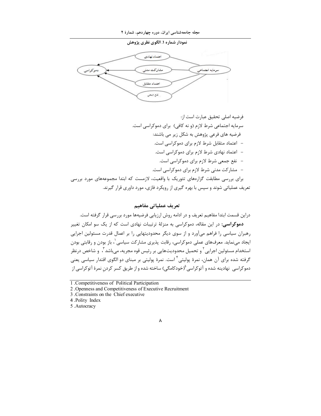



#### تعريف عملياتي مفاهيم

دراین قسمت ابتدا مفاهیم تعریف و در ادامه روش ارزیابی فرضیهها مورد بررسی قرار گرفته است. دموکراسی: در این مقاله، دموکراسی به منزلهٔ ترتیبات نهادی است که از یک سو امکان تغییر رهبران سیاسی را فراهم میآورد و از سوی دیگر محدودیتهایی را بر اعمال قدرت مسئولین اجرایی ایجاد می،نماید. معرفهای عملی دموکراسی، رقابت پذیری مشارکت سیاسی ٰ، باز بودن و رقابتی بودن استخدام مسئولین اجرایی آ و تحمیل محدودیتهایی بر رئیس قوه مجریه، می باشد آ ، و شاخص درنظر گرفته شده برای آن همان، نمرهٔ پولیتی<sup>۴</sup> است. نمرهٔ پولیتی بر مبنای دو الگوی اقتدار سیاسی یعنی دموکراسی نهادینه شده و آتوکراسی  $\left(\check{\phantom{a}}\right)$ خودکامگی) ساخته شده و از طریق کسر کردن نمرهٔ آتوکراسی از

#### $\pmb{\wedge}$

<sup>1</sup> Competitiveness of Political Participation

<sup>2.</sup> Openness and Competitiveness of Executive Recruitment

<sup>3.</sup> Constraints on the Chief executive

<sup>4.</sup>Polity Index

<sup>5.</sup>Autocracy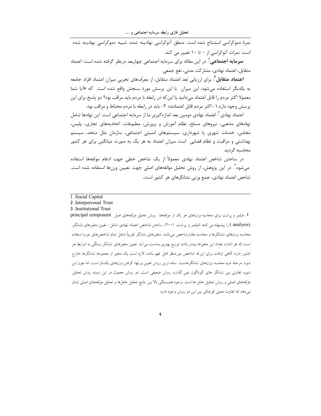.<br>نمرهٔ دموکراسی استنتاج شده است. منطق آتوکراسی نهادینه شده، شبیه دموکراسی نهادینه شده است. نمرات آتوکراسی از ۰ تا ۱۰ تغییر می کند.

**سرمایه اجتماعی** ': در این مقاله برای سرمایه اجتماعی چهاربعد درنظر گرفته شده است: اعتماد متقابل، اعتماد نهادي، مشاركت مدني، نفع جمعي.

**اعتماد متقابل**<sup>۲</sup>: برای ارزیابی بُعد اعتماد متقابل، از معرّفهای تجربی میزان اعتماد افراد جامعه به یکدیگر استفاده میشود، این میزان با این پرسش مورد سنجش واقع شده است که «آیا شما معمولا اکثر مردم را قابل اعتماد میدانید یا این که در رابطه با مردم باید مراقب بود؟ دو پاسخ برای این یر سش وجود دارد: ۱ – اکثر مردم قابل اعتمادند؛ ۲- باید در رابطه با مردم محتاط و مراقب بود.

اعتماد نهادی آ: اعتماد نهادی دومین بعد اندازهگیری ما از سرمایه اجتماعی است. این نهادها شامل نهادهای مذهبی، نیروهای مسلح، نظام آموزش و پرورش، مطبوعات، اتحادیههای تجاری، پلیس، مجلس، خدمات شهری یا شهرداری، سیستمهای امنیتی اجتماعی، سازمان ملل متحد، سیستم بهداشتی و مراقبت و نظام قضایی است. میزان اعتماد به هر یک به صورت میانگین برای هر کشور محاسبه گردید.

در ساختن شاخص اعتماد نهادي معمولاً از يک شاخص خطي جهت ادغام مولفهها استفاده میشود". در این پژوهش، از روش تحلیل مؤلفههای اصلی جهت تعیین وزنها استفاده شده است. شاخص اعتماد نهادي، جمع وزني نشانگرهاي هر كشور است.

<sup>}</sup>. فیلمر و پرشت برای محاسبه وزنهای هر یک از مولفهها، روش تحلیل مؤلفههای اصل principal component (analysis ) را پیشنهاد می کنند (فیلمر و پرشت، ۲۰۰۱). ساختن شاخص اعتماد نهادی شامل : تعیین متغیرهای نشانگر، محاسبه وزنهای نشانگرها و محاسبه مقدارشاخص می باشد. متغیرهای نشانگر تقریباً شامل تمام شاخص های مورد استفاده است که هر اندازه تعداد این متغیرها بیشتر باشد توزیع بهتری بهدست می اَید .تعیین متغیرهای نشانگر بستگی به شرایط هر کشور دارد؛ گاهی اوقات برای اینکه شاخص موردنظر قابل فهم باشد، لازم است یک متغیر از مجموعه نشانگرها خارج شود. مرحله دوم محاسبه وزنهای نشانگرهاست. ساده ترین روش تعیین وزنها، گرفتن وزنهای یکسان است. اما چون این شیوه تفاوتی بین نشانگر های گوناگون نمی گذارد، روش ضعیفی است. دو روش معمول در این زمینه روش تحلیل مؤلفههای اصلی و روش تحلیل عامل ها است .وجود همبستگی بالابین نتایج تحلیل عاملها و تحلیل مؤلفههای اصلی نشان مي دهد كه تفاوت عملي كوچكي بين اين دو روش وجود دارد.

٩

<sup>1 .</sup>Social Capital

<sup>2.</sup> Interpersonal Trust

<sup>3 .</sup>Institutional Trust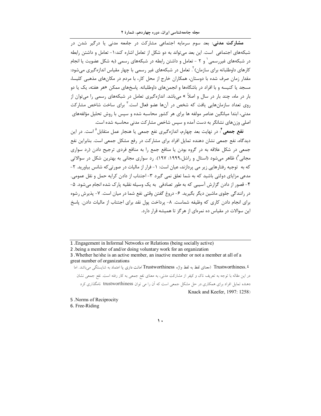مشارکت مدنی: بعد سوم سرمایه اجتماعی مشارکت در جامعه مدنی یا درگیر شدن در شبکههای اجتماعی ِ است. این بعد می تواند به دو شکل از تعامل اشاره کند: ۱ – تعامل و داشتن رابطه در شبکههای غیررسمی ٔ و ۲ - تعامل و داشتن رابطه در شبکههای رسمی (به شکل عضویت یا انجام کارهای داوطلبانه برای سازمان) <sup>۲</sup>. تعامل در شبکههای غیر رسمی با چهار مقیاس اندازهگیری میشود: مقدار زمان صرف شده با دوستان، همکاران خارج از محل کار، با مردم در مکانهای مذهبی کلیسا، مسجد یا کنیسه و با افراد در باشگاهها و انجمنهای داوطلبانه. پاسخهای ممکن «هر هفته، یک یا دو بار در ماه، چند بار در سال و اصلاً » میباشد. اندازهگیری تعامل در شبکههای رسمی را می¤وان از روی تعداد سازمانهایی یافت که شخص در آنها عضو فعال است.<sup>۳</sup> برای ساخت شاخص مشارکت مدنی، ابتدا میانگین عناصر مولفه ها برای هر کشور محاسبه شده و سپس با روش تحلیل مؤلفههای اصلی وزنهای نشانگر به دست آمده و سپس شاخص مشارکت مدنی محاسبه شده است.

**نفع جمعی'**: در نهایت بعد چهارم، اندازهگیری نفع جمعی یا هنجار عمل متقابل <sup>۵</sup> است. در این دیدگاه، نفع جمعی نشان دهنده تمایل افراد برای مشارکت در رفع مشکل جمعی است. بنابراین نفع جمعی در شکل علاقه به در گروه بودن یا منافع جمع را به منافع فردی ترجیح دادن (رد سواری مجانی ٔ ) ظاهر می شود (استال و راشل،۱۹۹۹: ۱۹۷۷). رد سواری مجانی به بهترین شکل در سوالاتی که به توجیه رفتارهایی زیر می پردازند، عیان است: ۱- فرار از مالیات در صورتی که شانس بیاورید. ۲-مدعی مزایای دولتی باشید که به شما تعلق نمی گیرد ۳- اجتناب از دادن کرایه حمل و نقل عمومی. ۴- قصور از دادن گزارش آسیبی که به طور تصادفی به یک وسیله نقلیه پارک شده انجام می شود. ۵-در رانندگی جلوی ماشین دیگر بگیرید. ۶- دروغ گفتن وقتی نفع شما در میان است. ۷- پذیرش رشوه برای انجام دادن کاری که وظیفه شماست. ۸- پرداخت پول نقد برای اجتناب از مالیات دادن. پاسخ این سوالات در مقیاس ده نمرهای از هرگز تا همیشه قرار دارد.

3. Whether he/she is an active member, an inactive member or not a member at all of a great number of organizations

Trustworthiness. ٤ (معناى لفظ به لفظ واژه Trustworthiness امانت دارى يا اعتماد به شايستگى مى باشد. اما در این مقاله با توجه به تعریف ناک و کیفر از مشارکت مدنی، به معنای نفع جمعی به کار رفته است. نفع جمعی نشان دهنده تمایل افراد برای همکاری در حل مشکل جمعی است که آن را می توان trustworthiness نامگذاری کرد Knack and Keefer, 1997: 1258)

5. Norms of Reciprocity

6. Free-Riding

 $\mathbf{A}$ 

<sup>1.</sup> Engagement in Informal Networks or Relations (being socially active)

<sup>2 .</sup>being a member of and/or doing voluntary work for an organization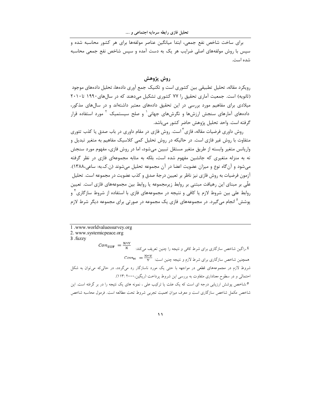برای ساخت شاخص نفع جمعی، ابتدا میانگین عناصر مولفهها برای هر کشور محاسبه شده و سیس با روش مولفههای اصلی ضرایب هر یک به دست آمده و سیس شاخص نفع جمعی محاسبه شده است.

#### روش پژوهش

رویکرد مقاله، تحلیل تطبیقی بین کشوری است و تکنیک جمع آوری دادهها، تحلیل دادههای موجود (ثانویه) است. جمعیت آماری تحقیق را ۷۷ کشوری تشکیل می دهند که در سال های ۱۹۹۰ تا ۲۰۱۰ میلادی برای مفاهیم مورد بررسی در این تحقیق دادههای معتبر داشتهاند و در سالهای مذکور، دادههای آمارهای سنجش ارزشها و نگرشهای جهانی و صلح سیستمیک آ مورد استفاده قرار گرفته است. واحد تحلیل پژوهش حاضر کشور میباشد.

روش داوری فرضیات مقاله، فازی ` است. روش فازی در مقام داوری در باب صدق یا کذب تئوری متفاوت با روش غیر فازی است. در حالیکه در روش تحلیل کمی کلاسیک مفاهیم به متغیر تبدیل و واریانس متغیر وابسته از طریق متغیر مستقل تبیین می شود، اما در روش فازی، مفهوم مورد سنجش نه به منزله متغیری که جانشین مفهوم شده است، بلکه به مثابه مجموعهای فازی در نظر گرفته میشود و آنگاه نوع و میزان عضویت اعضا در آن مجموعه تحلیل میشوند (ن.ک.به: ساعی۱۳۸۸). آزمون فرضیات به روش فازی نیز ناظر بر تعیین درجهٔ صدق و کذب عضویت در مجموعه است. تحلیل علّی بر مبنای این رهیافت مبتنی بر روابط زیرمجموعه یا روابط بین مجموعههای فازی است. تعیین روابط علی بین شروط لازم یا کافی و نتیجه در مجموعههای فازی با استفاده از شروط سازگاری ٔ و پوشش ْ انجام می گیرد. در مجموعههای فازی یک مجموعه در صورتی برای مجموعه دیگر شرط لازم

1.www.worldvaluessurvey.org 2. www.systemicpeace.org 3 .fuzzy  $\mathit{Con}\xspace_\text{SUF}=\frac{x_0}{x}$ اراگین شاخص سازگاری برای شرط کافی و نتیجه را چنین تعریف میکند:  $\xi$  $\mathit{Con}_{\mathbb{N}}\ = \frac{x_{\mathbb{N}}}{v}$  همچنین شاخص سازگاری برای شرط لازم و نتیجه چنین است: شروط لازم در مجموعههای قطعی در مواجهه با حتی یک مورد ناسازگار رد میگردد، در حالی که می توان به شکل احتمالی و در سطوح معناداری متفاوت به بررسی این شروط پرداخت (ریگین، ۲۰۰۰ :۱۱۳). <sup>0</sup>شاخص پوشش ارزیابی درجه ای است که یک علت یا ترکیب علی ، نمونه های یک نتیجه را در بر گرفته است. این شاخص مکمل شاخص سازگاری است و معرف میزان اهمیت تجربی شروط تحت مطالعه است. فرمول محاسبه شاخص

 $\mathcal{L}$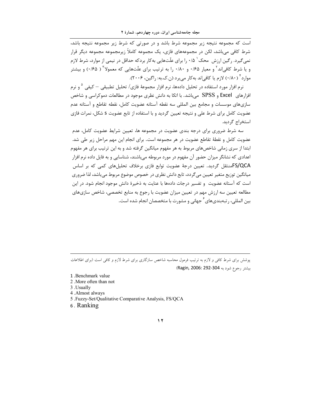است که مجموعه نتیجه زیر مجموعه شرط باشد و در صورتی که شرط زیر مجموعه نتیجه باشد، شرط کافی می باشد، لکن در مجموعههای فازی، یک مجموعه کاملاً زیرمجموعه مجموعه دیگر قرار نمی گیرد. رگین ارزش ِ محک<sup>۱</sup> (۰/۵ برای علّتهایی به کار بردکه حداقل در نیمی از موارد، شرط لازم و یا شرط کافیاند<sup>۲</sup> و معیار ۱۶۵ و ۱۸۰ را به ترتیب برای علّتهایی که معمولا<sup>۳</sup> ( ۱۶۵) و بیشتر موارد ٔ ( ۰/۸۰) لازم یا کافی|ند بهکار می,برد (ن.ک.به: راگین، ۲۰۰۶).

نرم افزار مورد استفاده در تحليل دادهها، نرم افزار مجموعهٔ فازي/ تحليل تطبيقي — كيفي <sup>۵</sup> و نرم افزارهای Excel و SPSS می باشد. با اتکا به دانش نظری موجود در مطالعات دموکراسی و شاخص سازیهای موسسات و مجامع بین المللی سه نقطه آستانه عضویت کامل، نقطه تقاطع و آستانه عدم عضویت کامل برای شرط علی و نتیجه تعیین گردید و با استفاده از تابع عضویت S شکل، نمرات فازی استخراج گردید.

سه شرط ضروری برای درجه بندی عضویت در مجموعه ها، تعیین شرایط عضویت کامل، عدم عضویت کامل و نقطهٔ تقاطع عضویت در هر مجموعه است. برای انجام این مهم مراحل زیر طی شد. ابتدا از سری زمانی شاخصهای مربوط به هر مفهوم میانگین گرفته شد و به این ترتیب برای هر مفهوم اعدادی که نشانگر میزان حضور آن مفهوم در مورد مربوطه میباشند، شناسایی و به فایل داده نرم افزار FS/QCAمنتقل گردید. تعیین درجهٔ عضویت توابع فازی برخلاف تحلیلهای کمی که بر اساس میانگین توزیع متغیر تعیین میگردد، تابع دانش نظری در خصوص موضوع مربوط میباشد، لذا ضروری است که آستانه عضویت و تفسیر درجات دادهها با عنایت به ذخیرهٔ دانش موجود انجام شود. در این مطالعه تعیین سه ارزش مهم در تعیین میزان عضویت با رجوع به منابع تخصصی، شاخص سازیهای بین المللی، رتبهبندیهای<sup>۶</sup> جهانی و مشورت با متخصصان انجام شده است.

پوشش برای شرط کافی و لازم به ترتیب فرمول محاسبه شاخص سازگاری برای شرط لازم و کافی است (برای اطلاعات بيشتر رجوع شود به 304-Ragin, 2006: 292)

1. Benchmark value

- 2. More often than not
- 3 .Usually

4. Almost always

- 5 .Fuzzy-Set/Qualitative Comparative Analysis, FS/QCA
- 6. Ranking

#### $\gamma$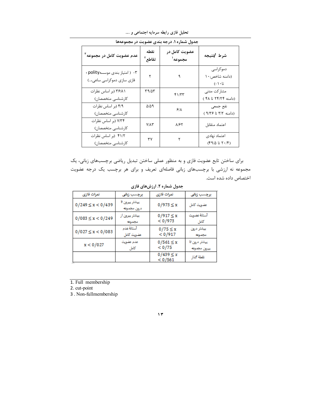| جدول شماره ۱. درجه بندی عضویت در مجموعهها                   |               |                          |                                                          |
|-------------------------------------------------------------|---------------|--------------------------|----------------------------------------------------------|
| عدم عضویت کامل در مجموعه <sup>۳</sup>                       | نقطه<br>تقاطع | عضویت کامل در<br>مجموعه' | شرط /نتيجه                                               |
| ۰۳ ( امتياز بندى موسسهpolity ؛<br>فازی سازی دموکراسی ساعی…) |               |                          | دموکراسی<br>(دامنه شاخص: ١٠<br>$(- \setminus \cdot \cup$ |
| ۲۶/۸۱ (بر اساس نظرات<br>كارشناسي متخصصان)                   | ۳۹/۵۳         | ۴۱/۳۳                    | مشاركت مدنى<br>(دامنه ۲۴/۲۴ تا ۴۸)                       |
| ۴/۹ (بر اساس نظرات<br>كارشناسي متخصصان)                     | ۵/۵۹          | 9/1                      | نفع جمعي<br>(دامنه ٣/٢ تا ٩/٣۶)                          |
| ۷/۳۴ (بر اساس نظرات<br>كارشناسي متخصصان)                    | <b>Y/AY</b>   | 8167                     | اعتماد متقابل                                            |
| ۴۱/۲ (بر اساس نظرات<br>كارشناسي متخصصان)                    | ٣٧            | ٢                        | اعتماد نهادى<br>(4/2 7.7 7.7)                            |

تحلیل فازی رابطه سرمایه اجتماعی و ....<br>-<br>ما شعاره ( درجه بندی عفرورت در ۱۵۵۵

برای ساختن تابع عضویت فازی و به منظور عملی ساختن تبدیل ریاضی برچسبهای زبانی، یک مجموعه نه ارزشی با برچسبهای زبانی فاصلهای تعریف و برای هر برچسب یک درجه عضویت اختصاص داده شده است.

| نمرات فازي             | برجسب زباني                   | نمرات فازى                 | برچسب زبانی                   |
|------------------------|-------------------------------|----------------------------|-------------------------------|
| $0/249 \leq x < 0/439$ | ييشٽر ييرون تا<br>درون مجموعه | $0/973 \le x$              | عضويت كامل                    |
| $0/083 \leq x < 0/249$ | ييشتر بيرون از<br>مجموعه      | $0/917 \le x$<br>< 0/973   | آستانة عضويت<br>كاءل          |
| $0/027 \leq x < 0/083$ | آستانة عدم<br>عضويت كامل      | $0/75 \leq x$<br>$<$ 0/917 | ييشتر درون<br>مجموعه          |
| x < 0/027              | عدم عضويت<br>كاءل             | $0/561 \le x$<br>< 0/75    | ييشٽر درون تا<br>ييرون مجموعه |
|                        |                               | $0/439 \le x$<br>< 0/561   | نقطة كذار                     |

جدول شماره ۲. ارزشهای فازی

1. Full membership

2. cut-point

3. Non-fullmembership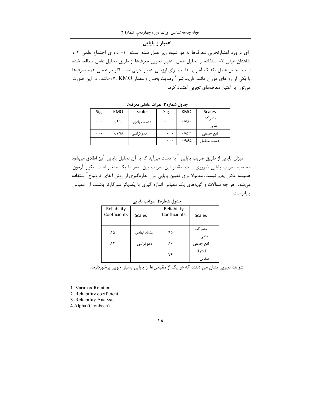## اعتبار و پایایی

رای برآورد اعتبارتجربی معرفها به دو شیوه زیر عمل شده است: ١- داوری اجتماع علمی ٢ و شاهدان عيني ٢- استفاده از تحليل عامل. اعتبار تجربي معرفها از طريق تحليل عامل مطالعه شده است. تحلیل عامل تکنیک آماری مناسب برای ارزیابی اعتبارتجربی است. اگر بار عاملی همه معرفها با یکی از رو های دوران مانند واریماکس<sup>٬</sup> رضایت بخش و مقدار KMO٬ ۱۷، KMO٬ باشد، در این صورت می توان بر اعتبار معرفهای تجربی اعتماد کرد.

| Sig.     | KMO                         | <b>Scales</b> | Sig.     | KMO                         | <b>Scales</b>   |
|----------|-----------------------------|---------------|----------|-----------------------------|-----------------|
| $\cdots$ | $\cdot$ /9).                | اعتماد نهادى  | $\cdots$ | $\cdot$ /Y $\wedge$ $\cdot$ | مشا, کت<br>مدنى |
| $\cdots$ | $\cdot$ / $\vee$ 9 $\wedge$ | دموکراسے      | $\cdots$ | .1199                       | نفع جمعى        |
|          |                             |               | $\cdots$ | ۱۹۶۵.                       | اعتماد متقابل   |

جدول شماره۳. نمرات عاملی معرفها

میزان پایایی از طریق ضریب پایایی <sup>۲</sup> به دست میآید که به آن تحلیل پایایی <sup>۳</sup>نیز اطلاق میشود. محاسبه ضریب پایایی ضروری است. مقدار این ضریب بین صفر تا یک متغیر است. تکرار آزمون همیشه امکان پذیر نیست، معمولا برای تعیین پایایی ابزار اندازهگیری از روش آلفای کرونباخ<sup>۲</sup> استفاده میشود. هر چه سوالات و گویههای یک مقیاس اندازه گیری با یکدیگر سازگارتر باشند، آن مقیاس پاياتراست.

| جدول شماره۴. ضرایب پایایی   |               |                             |                     |
|-----------------------------|---------------|-----------------------------|---------------------|
| Reliability<br>Coefficients | <b>Scales</b> | Reliability<br>Coefficients | Scales              |
| ٨۵                          | اعتماد نهادى  | ۹۵                          | مشاركت<br>۔<br>مدنی |
| ۸۲                          | دموکراسی      | ۸۶                          | نفع جمعى            |
|                             |               |                             | اعتماد              |
|                             |               | ٧۶                          | متقابل              |

شواهد تجربی نشان می دهند که هر یک از مقیاسها از پایایی بسیار خوبی برخوردارند.

1. Varimax Rotation

2. Reliability coefficient

3 .Reliability Analysis

4.Alpha (Cronbach)

#### $\sqrt{t}$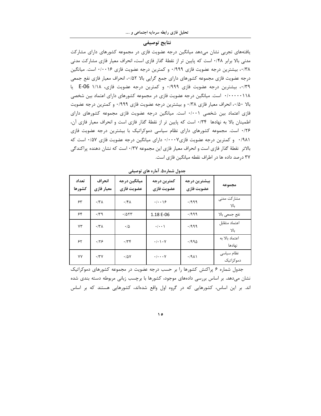#### نتايج توصيفي

یافتههای تجربی نشان میدهد میانگین درجه عضویت فازی در مجموعه کشورهای دارای مشارکت مدنی بالا برابر ۰/۴۸ است که پایین تر از نقطهٔ گذار فازی است، انحراف معیار فازی مشارکت مدنی ۰/۳۸، بیشترین درجه عضویت فازی ۰/۹۹۹ و کمترین درجه عضویت فازی ۰/۰۰۱۶ است. میانگین درجه عضويت فازي مجموعه كشورهاي داراي جمع گرايي بالا ۵۲٪، انحراف معيار فازي نفع جمعي ۰/۳۹، بیشترین درجه عضویت فازی ۰/۹۹۹ و کمترین درجه عضویت فازی، ۱/۱۸ E-06 یا ۰/۰۰۰۰۰۱۱۸ است. میانگین درجه عضویت فازی در مجموعه کشورهای دارای اعتماد بین شخصی بالا ۰/۵۰، انحراف معیار فازی ۰/۳۸ و بیشترین درجه عضویت فازی ۰/۹۹۹ و کمترین درجه عضویت فازی اعتماد بین شخصی ۰/۰۰۱ است. میانگین درجه عضویت فازی مجموعه کشورهای دارای اطمینان بالا به نهادها ۰/۳۴ است که پایین تر از نقطهٔ گذار فازی است و انحراف معیار فازی آن، ۰/۲۶ است. مجموعه کشورهای دارای نظام سیاسی دموکراتیک با بیشترین درجه عضویت فازی ۹۸۱/ ۰ و کمترین درجه عضویت فازی۰/۰۰۰۷ دارای میانگین درجه عضویت فازی ۰/۵۷ است که بالاتر نقطهٔ گذار فازی است و انحراف معیار فازی این مجموعه ۰/۳۷ است که نشان دهنده پراکندگی ۳۷ درصد داده ها در اطراف نقطه میانگین فازی است.

| تعداد<br>كشورها | انحراف<br>معيار فازي | ميانگين درجه<br>عضويت فازى | كمترين درجه<br>عضويت فازي          | بيشترين درجه<br>عضويت فازى | مجموعه                   |
|-----------------|----------------------|----------------------------|------------------------------------|----------------------------|--------------------------|
| ۶۳              | $\cdot$ /۳ $\Lambda$ | $.$ /۴ $\Lambda$           | $\cdot/\cdot\cdot$ \ $\epsilon$    | .1999                      | مشار کت مدنی<br>بالا     |
| ۶۴              | $\cdot$ /۳۹          | .7057                      | 1.18 E-06                          | .7999                      | نفع جمعي بالا            |
| ٧٣              | $\cdot$ /۳ $\Lambda$ | $\cdot/\Delta$             | $\cdot/\cdot\cdot$                 | .1999                      | اعتماد متقابل<br>УL      |
| ۶۲              | .179                 | .77                        | $\cdot/\cdot \setminus \cdot \vee$ | .7990                      | اعتماد بالا به<br>نهادها |
| ٧٧              | $\cdot$ /۳Y          | $\cdot$ /5Y                | $\cdot/\cdot\cdot\cdot$ Y          | .79                        | نظام سياسى<br>دموكراتيك  |

جدول شماره۵. آماره های توصیفی

جدول شماره ۶ پراکنش کشورها را بر حسب درجه عضویت در مجموعه کشورهای دموکراتیک نشان میدهد. بر اساس بررسی دادههای موجود، کشورها با برچسب زبانی مربوطه دسته بندی شده اند. بر این اساس، کشورهایی که در گروه اول واقع شدهاند، کشورهایی هستند که بر اساس

 $\Delta$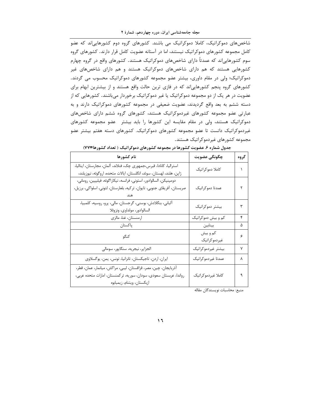شاخصهای دموکراتیک، کاملا دموکراتیک می باشند. کشورهای گروه دوم کشورهاییاند که عضو کامل مجموعه کشورهای دموکراتیک نیستند، اما در آستانه عضویت کامل قرار دارند. کشورهای گروه سوم کشورهاییاند که عمدتاً دارای شاخصهای دموکراتیک هستند. کشورهای واقع در گروه چهارم کشورهایی هستند که هم دارای شاخصهای دموکراتیک هستند و هم دارای شاخصهای غیر دموکراتیک؛ ولی در مقام داوری، بیشتر عضو مجموعه کشورهای دموکراتیک محسوب می گردند. کشورهای گروه پنجم کشورهایی|ند که در فازی ترین حالت واقع هستند و از بیشترین ابهام برای عضویت در هر یک از دو مجموعه دموکراتیک یا غیر دموکراتیک برخوردار میباشند. کشورهایی که از دسته ششم به بعد واقع گردیدند، عضویت ضعیفی در مجموعه کشورهای دموکراتیک دارند و به عبارتی عضو مجموعه کشورهای غیردموکراتیک هستند، کشورهای گروه ششم دارای شاخصهای دموکراتیک هستند، ولی در مقام مقایسه این کشورها را باید بیشتر عضو مجموعه کشورهای غیردموکراتیک دانست تا عضو مجموعه کشورهای دموکراتیک. کشورهای دسته هفتم بیشتر عضو مجموعه کشورهای غیردموکراتیک هستند.

| نام كشورها                                                                                                                                                          | چگونگی عضویت             | گروه |
|---------------------------------------------------------------------------------------------------------------------------------------------------------------------|--------------------------|------|
| استراليا، كانادا، قبرس،جمهوري چک، فنلاند، آلمان، مجارستان، ايتاليا،<br>ژاپن، هلند، لهستان، سوئد، انگلستان، ايالات متحده، اروگوئه، نيوزيلند،                         | كاملا دموكراتيك          |      |
| دومينيكن، السالوادور، استونى، فرانسه، نيكاراگوئه، فيليپين، رومانى،<br>صربستان، آفريقاي جنوبي، تايوان، تركيه، بلغارستان، لتوني، اسلواكي، برزيل،                      | عمدتا دموكراتيك          |      |
| آلبانی، بنگلادش، بوسنی، گرجستان، مالی، پرو، روسیه، کلمبیا،<br>السالوادور، مولداوي، ونزوئلا                                                                          | بيشتر دموكراتيك          | ٣    |
| ارمنستان، غنا، مالزي                                                                                                                                                | کم و بیش دموکراتیک       | ۴    |
| پاکستان                                                                                                                                                             | بينابين                  | ۵    |
| كنگو                                                                                                                                                                | کم و بیش<br>غيردموكراتيك | ۶    |
| الجزاير، نيجريه، سنگاپور، سومالي                                                                                                                                    | بيشتر غيردموكراتيك       | ٧    |
| ايران، اردن، تاجيكستان، تانزانيا، تونس، يمن، يوگسلاوي                                                                                                               | عمدتا غيردموكراتيك       | ٨    |
| أذربايجان، چين، مصر، قزاقستان، ليبي، مراكش، ميانمار، عمان، قطر،<br>رواندا، عربستان سعودي، سودان، سوريه، تركمنستان، امارات متحده عربي،<br>ازبكستان، ويتنام، زيمبابوه | كاملا غيردموكراتيك       | ٩    |

جدول شماره ۶. عضویت کشورها در مجموعه کشورهای دموکراتیک ( تعداد کشورها=۷۷)

منبع: محاسبات نويسندگان مقاله

 $\mathbf{1}$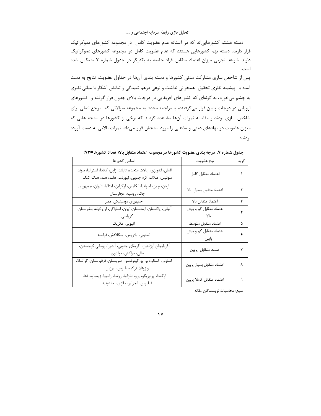تحلیل فازی رابطه سرمایه اجتماعی و ….

دسته هشتم کشورهایی اند که در آستانه عدم عضویت کامل در مجموعه کشورهای دموکراتیک قرار دارند. دسته نهم کشورهایی هستند که عدم عضویت کامل در مجموعه کشورهای دموکراتیک دارند. شواهد تجربی میزان اعتماد متقابل افراد جامعه به یکدیگر در جدول شماره ۷ منعکس شده است.

پس از شاخص سازی مشارکت مدنی کشورها و دسته بندی آنها در جداول عضویت، نتایج به دست آمده با پیشینه نظری تحقیق همخوانی نداشت و نوعی درهم تنیدگی و تناقض آشکار با مبانی نظری به چشم می خورد، به گونهای که کشورهای آفریقایی در درجات بالای جدول قرار گرفته و کشورهای اروپایی در درجات پایین قرار میگرفتند، با مراجعه مجدد به مجموعه سوالاتی که مرجع اصلی برای شاخص سازی بودند و مقایسه نمرات آنها مشاهده گردید که برخی از کشورها در سنجه هایی که میزان عضویت در نهادهای دینی و مذهبی را مورد سنجش قرار میداد، نمرات بالایی به دست آورده بودند؛

| اسامى كشورها                                                                                                                 | نوع عضويت                       | گروه |
|------------------------------------------------------------------------------------------------------------------------------|---------------------------------|------|
| آلمان، اندونزی، ایالات متحده، تایلند، ژاپن، کانادا، استرالیا، سوئد،<br>سوئیس، فنلاند، کره جنوبی، نیوزلند، هلند، هند، هنگ کنگ | اعتماد متقابل كامل              |      |
| اردن، چین، اسپانیا، انگلیس، اوکراین، ایتالیا، تایوان، جمهوری<br>چک، روسیه، مجارستان                                          | اعتماد متقابل بسيار بالا        | ٢    |
| جمهوري دومينيكن، مصر                                                                                                         | اعتماد متقابل بالا              | ٣    |
| آلباني، پاكستان، ارمنستان، ايران، اسلواكي، اوروگوئه، بلغارستان،<br>كرواسى                                                    | اعتماد متقابل کم و بیش          | ۴    |
| اتيوپى، مكزيک                                                                                                                | اعتماد متقابل متوسط             | ۵    |
| استونى، بلاروس، بنگلادش، فرانسه                                                                                              | اعتماد متقابل کم و بیش<br>پايين | ۶    |
| أذربايجان،أرژانتين، أفريقاي جنوبي، أندورا، روماني،گرجستان،<br>مالى، مراكش، مولدوى                                            | اعتماد متقابل پايين             | ٧    |
| اسلوني، السالوادور، بوركينوفاسو، صربستان، قرقيزستان، گواتمالا،<br>ونزوئلا، تركيه، قبرس، برزيل                                | اعتماد متقابل بسيار پايين       | ٨    |
| اوگاندا، پرتوريكو، پرو، تانزانيا، رواندا، زامبيا، زيمباوه، غنا،<br>فيليپين، الجزاير، مالزي،  مقدونيه                         | اعتماد متقابل كاملا پايين       | ٩    |

جدول شماره ۷. درجه بندی عضویت کشورها در مجموعه اعتماد متقابل بالا( تعداد کشورها=۷۳)

منبع: محاسبات نويسندگان مقاله

 $\gamma$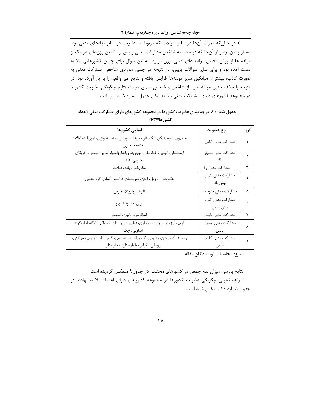← در حالی که نمرات آنها در سایر سوالات که مربوط به عضویت در سایر نهادهای مدنی بود، بسیار پایین بود و از آنجا که در محاسبه شاخص مشارکت مدنی و پس از تعیین وزنهای هر یک از مولفه ها از روش تحلیل مولفه های اصلی، وزن مربوط به این سوال برای چنین کشورهایی بالا به دست آمده بود و برای سایر سوالات پایین، در نتیجه در چنین مواردی شاخص مشارکت مدنی به صورت کاذب، بیشتر از میانگین سایر مولفهها افزایش یافته و نتایج غیر واقعی را به بار آورده بود. در نتیجه با حذف چنین مولفه هایی از شاخص و شاخص سازی مجدد، نتایج چگونگی عضویت کشورها در مجموعه کشورهای دارای مشارکت مدنی بالا به شکل جدول شماره ۸ تغییر یافت.

### جدول شماره ۸. درجه بندی عضویت کشورها در مجموعه کشورهای دارای مشارکت مدنی (تعداد كشورها=۶۳)

| اسامی کشورها                                                                                                   | نوع عضويت                     | گروه |
|----------------------------------------------------------------------------------------------------------------|-------------------------------|------|
| جمهوری دومینیکن، انگلستان، سوئد، سوییس، هند، اندونزی، نیوزیلند، ایالات<br>متحده، مالزی                         | مشاركت مدنى كامل              |      |
| ارمنستان، اتيوپي، غنا، مالي، نيجريه، رواندا، زامبيا، آندورا، بوسني، آفريقاي<br>جنوبي، هلند                     | مشاركت مدنى بسيار<br>بالا     |      |
| مكزيك، تايلند، فنلاند                                                                                          | مشاركت مدنى بالا              | ٣    |
| بنگلادش، برزیل، اردن، صربستان، فرانسه، ألمان، كره جنوبي                                                        | مشارکت مدنی کم و<br>بيش بالا  | ۴    |
| تانزانيا، ونزوئلا، قبرس                                                                                        | مشاركت مدنى متوسط             | ۵    |
| ايران، مقدونيه، پرو                                                                                            | مشارکت مدنی کم و<br>بيش پايين | ç    |
| السالوادور، تايوان، اسپانيا                                                                                    | مشاركت مدنى پايين             | ٧    |
| آلبانی، آرژانتین، چین، مولداوی، فیلیپین، لهستان، اسلواکی، اوگاندا، اروگوئه،<br>اسلونى، چک                      | مشارکت مدنی بسیار<br>پايين    | Λ    |
| روسيه، آذربايجان، بلاروس، كلمبيا، مصر، استونى، گرجستان، ليتوانى، مراكش،<br>روماني، اكراين، بلغارستان، مجارستان | مشاركت مدنى كاملا<br>پايين    |      |

منبع: محاسبات نويسندگان مقاله

نتايج بررسي ميزان نفع جمعي در كشورهاي مختلف، در جدول۹ منعكس گرديده است. شواهد تجربی چگونگی عضویت کشورها در مجموعه کشورهای دارای اعتماد بالا به نهادها در جدول شماره ١٠ منعكس شده است.

 $\Lambda$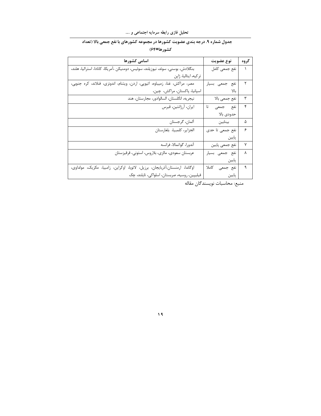# جدول شماره ۹. درجه بندی عضویت کشورها در مجموعه کشورهای با نفع جمعی بالا (تعداد كشورها=64)

| اسامی کشورها                                                                    | نوع عضويت       | گروه      |
|---------------------------------------------------------------------------------|-----------------|-----------|
| بنگلادش، بوسنی، سوئد، نیوزیلند، سوئیس، دومنیکن ،آمریکا، کانادا، استرالیا، هلند، | نفع جمعي كامل   | $\lambda$ |
| تركيه، ايتاليا، ژاپن                                                            |                 |           |
| مصر، مراکش، غنا، زمیباوه، اتیوپی، اردن، ویتنام، اندونزی، فنلاند، کره جنوبی،     | نفع جمعي بسيار  | ۲         |
| اسپانيا، پاکستان، مراکش، چين،                                                   | بالا            |           |
| نيجريه، انگلستان، السالوادور، مجارستان، هند                                     | نفع جمعي بالا   | ٣         |
| ايران، آرژانتين، قبرس                                                           | نفع جمعى<br>تا  | ۴         |
|                                                                                 | حدودى بالا      |           |
| آلمان، گرجستان                                                                  | بينابين         | ۵         |
| الجزاير، كلمبيا، بلغارستان                                                      | نفع جمعي تا حدي | ۶         |
|                                                                                 | پايين           |           |
| آندورا، گواتمالا، فرانسه                                                        | نفع جمعي پايين  | ٧         |
| عربستان سعودي، مالزي، بلاروس، استوني، قرقيزستان                                 | نفع جمعي بسيار  | Υ         |
|                                                                                 | پايين           |           |
| اوگاندا، ارمنستان،آذربایجان، برزیل، لاتویا، اوکراین، زامبیا، مکزیک، مولداوی،    | نفع جمعي كاملا  | ٩         |
| فیلیپین، روسیه، صربستان، اسلواکی، تایلند، چک                                    | پایین           |           |

منبع: محاسبات نويسندگان مقاله

 $\sqrt{9}$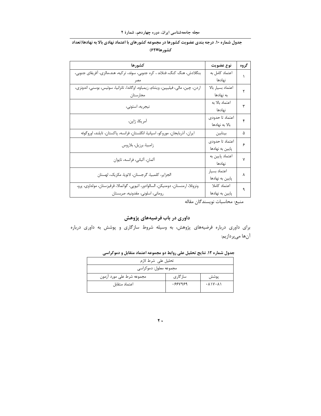# جدول شماره ۱۰. درجه بندی عضویت کشورها در مجموعه کشورهای با اعتماد نهادی بالا به نهادها(تعداد کشورها=۶۲)

| كشورها                                                                               | نوع عضويت         | گروه |
|--------------------------------------------------------------------------------------|-------------------|------|
| بنگلادش، هنگ کنگ، فنلاند ، کره جنوبی، سوئد، ترکیه، هند،مالزی، آفریقای جنوبی،         | اعتماد كامل به    |      |
|                                                                                      | نهادها            |      |
| اردن، چین، مالی، فیلیپین، ویتنام، زیمباوه، اوگاندا، تانزانیا، سوئیس، بوسنی، اندونزی، | اعتماد بسيار بالا |      |
| مجارستان                                                                             | به نهادها         |      |
| نيجريه، استونى،                                                                      | اعتماد بالا به    | ٣    |
|                                                                                      | نهادها            |      |
| آمريكا، ژاپن،                                                                        | اعتماد تا حدودى   | ۴    |
|                                                                                      | بالا به نهادها    |      |
| ايران، آذربايجان، موروكو، اسپانيا، انگلستان، فرانسه، پاكستان، تايلند، اوروگوئه       | بينابين           | ۵    |
| زامبيا، برزيل، بلاروس                                                                | اعتماد تا حدودى   | ۶    |
|                                                                                      | پایین به نهادها   |      |
| آلمان، آلباني، فرانسه، تايوان                                                        | اعتماد پایین به   | ٧    |
|                                                                                      | نهادها            |      |
| الجزاير، كلمبيا، گرجستان، لاتويا، مكزيك، لهستان                                      | اعتماد بسيار      | ٨    |
|                                                                                      | پایین به نهادها   |      |
| ونزوئلا، ارمنستان، دومنيكن، السالوادور، اتيوپي، گواتمالا، قرقيزستان، مولداوي، پرو،   | اعتماد كاملا      | ٩    |
| روماني، اسلوني، مقدونيه، صربستان                                                     | پایین به نهادها   |      |

منبع: محاسبات نويسندگان مقاله

## داوری در باب فرضیههای پژوهش

برای داوری درباره فرضیههای پژوهش، به وسیله شروط سازگاری و پوشش به داوری درباره آنها مىپردازيم:

| جدول شماره ۱۲. نتایج تحلیل علی روابط دو مجموعه اعتماد متقابل و دموکراسی |  |  |
|-------------------------------------------------------------------------|--|--|
|-------------------------------------------------------------------------|--|--|

| تحليل على شرط لازم        |          |                                                         |  |
|---------------------------|----------|---------------------------------------------------------|--|
| مجموعه معلول: دموکراسی    |          |                                                         |  |
| مجموعه شرط على مورد آزمون | ساز گاری | يوشش                                                    |  |
| اعتماد متقابل             | .554959  | $\cdot$ $\lambda$ $\lambda$ $\cdot$ $\lambda$ $\lambda$ |  |
|                           |          |                                                         |  |

 $\mathbf{y}$  .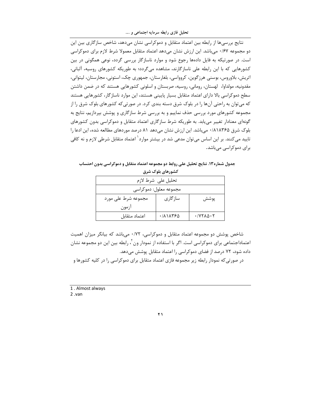تحلیل فازی رابطه سرمایه اجتماعی و ….

نتایج بررسی ها از رابطه بین اعتماد متقابل و دموکراسی نشان می دهد، شاخص سازگاری بین این دو مجموعه ۱۶۷۰ می باشد. این ارزش نشان می دهد اعتماد متقابل معمولا شرط لازم برای دموکراسی است. در صورتیکه به فایل دادهها رجوع شود و موارد ناسازگار بررسی گردد، نوعی همگونی در بین کشورهایی که با این رابطه علی ناسازگارند، مشاهده میگردد؛ به طوریکه کشورهای روسیه، آلبانی، اتریش، بلاوروس، بوسنی هرزگوین، کروواسی، بلغارستان، جمهوری چک، استونی، مجارستان، لیتوانی، مقدونیه، مولداوا، لهستان، رومانی، روسیه، صربستان و اسلونی کشورهایی هستند که در ضمن داشتن سطح دموکراسی بالا دارای اعتماد متقابل بسیار پایینی هستند، این موارد ناسازگار، کشورهایی هستند که میتوان به راحتی آنها را در بلوک شرق دسته بندی کرد. در صورتی که کشورهای بلوک شرق را از مجموعه کشورهای مورد بررسی حذف نماییم و به بررسی شرط سازگاری و پوشش بپردازیم، نتایج به گونهای معنادار تغییر می یابد. به طوریکه شرط سازگاری اعتماد متقابل و دموکراسی بدون کشورهای بلوک شرق ۰/۸۱۸۳۶۵ میباشد. این ارزش نشان میدهد ۸۱ درصد موردهای مطالعه شده، این ادعا را تایید می *ک*نند. بر این اساس می توان مدعی شد در بیشتر موارد<sup>\</sup> اعتماد متقابل شرطی لازم و نه کافی برای دموکراسی می باشد.

جدول شماره ۱۳. نتایج تحلیل علی روابط دو مجموعه اعتماد متقابل و دموکراسی بدون احتساب

| تحليل على شرط لازم     |          |                                                           |  |  |
|------------------------|----------|-----------------------------------------------------------|--|--|
| مجموعه معلول: دموكراسي |          |                                                           |  |  |
| مجموعه شرط على مورد    | ساز گاری | پوشش                                                      |  |  |
| ازمون                  |          |                                                           |  |  |
| اعتماد متقابل          | ۰/۸۱۸۳۶۵ | $\cdot$ / $\vee$ $\vee$ $\wedge$ $\wedge$ $\wedge$ $\vee$ |  |  |

کشورهای بلوک شرق

شاخص پوشش دو مجموعه اعتماد متقابل و دموکراسی، ۰/۷۲ میباشد که بیانگر میزان اهمیت اعتماداجتماعی برای دموکراسی است. اگر با استفاده از نمودار ون ٰ، رابطه بین این دو مجموعه نشان داده شود، ۷۲ درصد از فضای دموکراسی را اعتماد متقابل پوشش میدهد. در صورتی که نمودار رابطه زیر مجموعه فازی اعتماد متقابل برای دموکراسی را در کلیه کشورها و

1. Almost always

 $2. van$ 

 $\overline{Y}$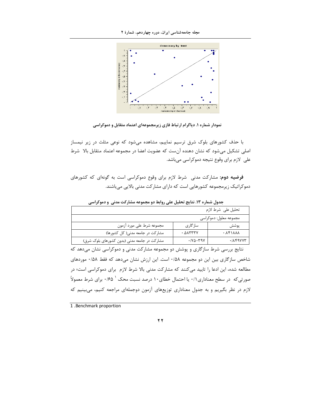

نمودار شماره ۱. دیاگرام ارتباط فازی زیرمجموعهای اعتماد متقابل و دموکراسی

با حذف کشورهای بلوک شرق ترسیم نماییم، مشاهده می شود که نوعی مثلث در زیر نیمساز اصلی تشکیل میشود که نشان دهنده آن ست که عضویت اعضا در مجموعه اعتماد متقابل بالا شرط علی لازم برای وقوع نتیجه دموکراسی میباشد.

فرضیه دوم: مشارکت مدنی شرط لازم برای وقوع دموکراسی است به گونهای که کشورهای دموکراتیک زیرمجموعه کشورهایی است که دارای مشارکت مدنی بالایی می باشند.

|                                              |                                                            | تحليل على شرط لازم                        |  |
|----------------------------------------------|------------------------------------------------------------|-------------------------------------------|--|
| مجموعه معلول: دموكراسي                       |                                                            |                                           |  |
| مجموعه شرط على مورد آزمون                    | ساز گاری                                                   | پوشش                                      |  |
| مشارکت در جامعه مدنی( کل کشورها)             | $. \triangle$ $\wedge$ $\wedge$ $\wedge$ $\wedge$ $\wedge$ | <b>AAA17A</b> .                           |  |
| مشارکت در جامعه مدنی (بدون کشورهای بلوک شرق) | $\cdot$ / $\vee$ $\circ$ $\cdot$ $\vee$ $\circ$ $\vee$     | $\cdot$ $/$ $\lambda$ $f$ $9$ $V$ $V$ $T$ |  |

جدول شماره ۱۳. نتایج تحلیل علی روابط دو مجموعه مشارکت مدنی و دموکراسی

نتایج بررسی شرط سازگاری و پوشش دو مجموعه مشارکت مدنی و دموکراسی نشان میدهد که شاخص سازگاری بین این دو مجموعه ۰/۵۸ است. این ارزش نشان میدهد که فقط ۰/۵۸ موردهای مطالعه شده، این ادعا را تایید میکنند که مشارکت مدنی بالا شرط لازم برای دموکراسی است؛ در صورتی که در سطح معناداری ۰/۱ یا احتمال خطای۱۰ درصد نسبت محک ` ۰/۶۵ برای شرط معمولاً لازم در نظر بگیریم و به جدول معناداری توزیعهای آزمون دوجملهای مراجعه کنیم، میبینیم که

1 .Benchmark proportion

 $\overline{y}$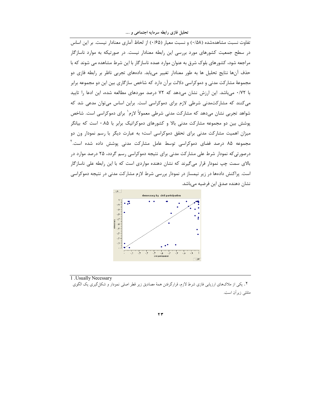تحلیل فازی رابطه سرمایه اجتماعی و ….

تفاوت نسبت مشاهدهشده (۰/۵۸) و نسبت معیار (۰/۶۵) از لحاظ آماری معنادار نیست. بر این اساس در سطح جمعیت کشورهای مورد بررسی این رابطه معنادار نیست. در صورتیکه به موارد ناسازگار مراجعه شود، کشورهای بلوک شرق به عنوان موارد عمده ناسازگار با این شرط مشاهده می شوند که با حذف آنها نتایج تحلیل ها به طور معنادار تغییر میlبابد. دادههای تجربی ناظر بر رابطه فازی دو مجموعهٔ مشارکت مدنی و دموکراسی دلالت برآن دارد که شاخص سازگاری بین این دو مجموعه برابر با ۰/۷۲ می باشد. این ارزش نشان می دهد که ۷۲ درصد موردهای مطالعه شده، این ادعا را تایید می کنند که مشارکتمدنی شرطی لازم برای دموکراسی است. براین اساس می توان مدعی شد که شواهد تجربی نشان میدهد که مشارکت مدنی شرطی معمولاً لازم` برای دموکراسی است. شاخص پوشش بین دو مجموعه مشارکت مدنی بالا و کشورهای دموکراتیک برابر با ۰.۸۵ است که بیانگر میزان اهمیت مشارکت مدنی برای تحقق دموکراسی است؛ به عبارت دیگر با رسم نمودار ون دو مجموعه ۸۵ درصد فضای دموکراسی توسط عامل مشارکت مدنی پوشش داده شده است. ۱ درصورتی که نمودار شرط علی مشارکت مدنی برای نتیجه دموکراسی رسم گردد، ۲۵ درصد موارد در بالای سمت چپ نمودار قرار میگیرند که نشان دهنده مواردی است که با این رابطه علی ناسازگار است. پراکنش دادهها در زیر نیمساز در نمودار بررسی شرط لازم مشارکت مدنی در نتیجه دموکراسی نشان دهنده صدق این فرضیه میباشد.



<sup>1 .</sup> Usually Necessary

۲. یکی از ملاکهای ارزیابی فازی شرط لازم، قرارگرفتن همهٔ مصادیق زیر قطر اصلی نمودار و شکل گیری یک الگوی مثلثى زيران است.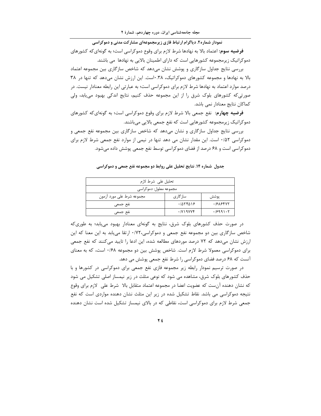نمودار شماره۲. دیاگرام ارتباط فازی زیرمجموعهای مشارکت مدنی و دموکراسی

**فرضیه سوم:** اعتماد بالا به نهادها شرط لازم برای وقوع دموکراسی است؛ به گونهای *ک*ه کشورهای دموکراتیک زیرمجموعه کشورهایی است که دارای اطمینان بالایی به نهادها می باشند.

بررسی نتایج جداول سازگاری و پوشش نشان میدهد که شاخص سازگاری بین مجموعه اعتماد بالا به نهادها و مجموعه کشورهای دموکراتیک، ۰.۳۸است. این ارزش نشان میدهد که تنها در ۳۸ درصد موارد اعتماد به نهادها شرط لازم برای دموکراسی است؛ به عبارتی این رابطه معنادار نیست. در صورتی که کشورهای بلوک شرق را از این مجموعه حذف کنیم، نتایج اندکی بهبود می یابد، ولی كماكان نتايج معنادار نمى باشد.

فرضیه چهارم: نفع جمعی بالا شرط لازم برای وقوع دموکراسی است؛ به گونهای *که* کشورهای دموکراتیک زیرمجموعه کشورهایی است که نفع جمعی بالایی می باشند.

بررسی نتایج جداول سازگاری و نشان می۵هد که شاخص سازگاری بین مجموعه نفع جمعی و دموکراسی ۰/۵۲ است. این مقدار نشان می دهد تنها در نیمی از موارد نفع جمعی شرط لازم برای دموکراسی است و ۶۸ درصد از فضای دموکراسی توسط نفع جمعی پوشش داده میشود.

| تحليل على شرط لازم        |                                                     |          |  |
|---------------------------|-----------------------------------------------------|----------|--|
| مجموعه معلول: دموکراسی    |                                                     |          |  |
| مجموعه شرط على مورد آزمون | ساز گاری                                            | يوشش     |  |
| نفع جمعي                  | .705509                                             | .18184VY |  |
| نفع جمعى                  | $\cdot$ / $\vee$ $\vee$ $\vee$ $\vee$ $\vee$ $\vee$ | .19991.7 |  |

جدول شماره ۱۴. نتایج تحلیل علی روابط دو مجموعه نفع جمعی و دموکراسی

در صورت حذف کشورهای بلوک شرق، نتایج به گونهای معنادار بهبود مییابد؛ به طوریکه شاخص سازگاری بین دو مجموعه نفع جمعی و دموکراسی،۰/۷۲ ارتقا مییابد به این معنا که این ارزش نشان میدهد که ۷۲ درصد موردهای مطالعه شده، این ادعا را تایید میکنند که نفع جمعی برای دموکراسی معمولا شرط لازم است. شاخص پوشش بین دو مجموعه ۰/۶۸ است، که به معنای آنست که ۶۸ درصد فضای دموکراسی را شرط نفع جمعی پوشش می دهد.

در صورت ترسیم نمودار رابطه زیر مجموعه فازی نفع جمعی برای دموکراسی در کشورها و با حذف کشورهای بلوک شرق، مشاهده می شود که نوعی مثلث در زیر نیمساز اصلی تشکیل می شود كه نشان دهنده آنست كه عضويت اعضا در مجموعه اعتماد متقابل بالا شرط على لازم براى وقوع نتیجه دموکراسی می باشد. نقاط تشکیل شده در زیر این مثلث نشان دهنده مواردی است که نفع جمعی شرط لازم برای دموکراسی است، نقاطی که در بالای نیمساز تشکیل شده است نشان دهنده

 $\forall f$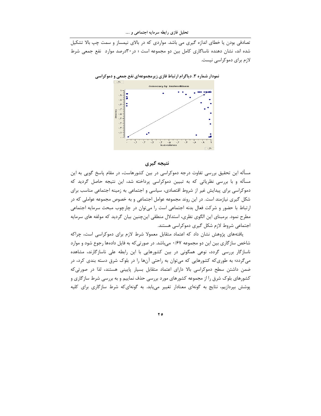تصادفی بودن یا خطای اندازه گیری می باشد. مواردی که در بالای نیمساز و سمت چپ بالا تشکیل شده اند، نشان دهنده ناساگاری کامل بین دو مجموعه است ؛ در ۳۰درصد موارد آنفع جمعی شرط لازم برای دموکراسی نیست.



#### نتيجه گيري

مسأله این تحقیق بررسی تفاوت درجه دموکراسی در بین کشورهاست، در مقام پاسخ گویی به این مسأله و با بررسی نظریاتی که به تبیین دموکراسی پرداخته شد، این نتیجه حاصل گردید که دموکراسی برای پیدایش غیر از شروط اقتصادی، سیاسی و اجتماعی به زمینه اجتماعی مناسب برای شکل گیری نیازمند است. در این روند مجموعه عوامل اجتماعی و به خصوص مجموعه عواملی که در ارتباط با حضور و شرکت فعال بدنه اجتماعی است را میتوان در چارچوب مبحث سرمایه اجتماعی مطرح نمود. برمبنای این الگوی نظری، استدلال منطقی اینچنین بیان گردید که مولفه های سرمایه اجتماعی شروط لازم شکل گیری دموکراسی هستند.

یافتههای پژوهش نشان داد که اعتماد متقابل معمولا شرط لازم برای دموکراسی است، چراکه شاخص سازگاری بین این دو مجموعه ۰/۶۷ میباشد. در صورتی که به فایل دادهها رجوع شود و موارد ناسازگار بررسی گردد، نوعی همگونی در بین کشورهایی با این رابطه علی ناسازگارند، مشاهده میگردد؛ به طوریکه کشورهایی که میتوان به راحتی آنها را در بلوک شرق دسته بندی کرد، در ضمن داشتن سطح دموکراسی بالا دارای اعتماد متقابل بسیار پایینی هستند، لذا در صورتیکه کشورهای بلوک شرق را از مجموعه کشورهای مورد بررسی حذف نماییم و به بررسی شرط سازگاری و پوشش بپردازیم، نتایج به گونهای معنادار تغییر می یابد. به گونهای که شرط سازگاری برای کلیه

 $\forall$  0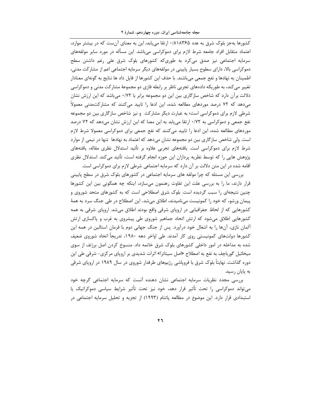مجله جامعهشناسی ایران، دوره چهاردهم، شمارهٔ ۲

کشورها بهجز بلوک شرق به عدد ۸۱۸۳۶۵/۰/ ارتقا می یابد، این به معنای آنست که در بیشتر موارد، اعتماد متقابل افراد جامعه شرط لازم برای دموکراسی میباشد. این مسأله در مورد سایر مولفههای سرمایه اجتماعی نیز صدق میکرد به طوریکه کشورهای بلوک شرق علی رغم داشتن سطح دموکراسی بالا، دارای سطوح بسیار پایینی در مولفههای دیگر سرمایه اجتماعی اعم از مشارکت مدنی، اطمينان به نهادها و نفع جمعي مي باشند. با حذف اين كشورها از فايل داد ها نتايج به گونهاي معنادار تغییر می کند، به طوریکه دادههای تجربی ناظر بر رابطه فازی دو مجموعهٔ مشارکت مدنی و دموکراسی دلالت برآن دارد که شاخص سازگاری بین این دو مجموعه برابر با ۰/۷۲ می باشد که این ارزش نشان مے،دھد که ۷۲ درصد موردھای مطالعه شده، این ادعا را تایید می کنند که مشارکتمدنی معمولاً شرطی لازم برای دموکراسی است؛ به عبارت دیگر مشارکت و نیز شاخص سازگاری بین دو مجموعه نفع جمعی و دموکراسی به ۰/۷۲ ارتقا می یابد به این معنا که این ارزش نشان میدهد که ۷۲ درصد موردهای مطالعه شده، این ادعا را تایید میکنند که نفع جمعی برای دموکراسی معمولا شرط لازم است. ولی شاخص ساز گاری بین دو مجموعه نشان میدهد که اعتماد به نهادها تنها در نیمی از موارد شرط لازم برای دموکراسی است. یافتههای تجربی علاوه بر تأئید استدلال نظری مقاله، یافتههای پژوهش هایی را که توسط نظریه پردازان این حوزه انجام گرفته است، تأئید میکند. استدلال نظری اقامه شده در این متن دلالت بر آن دارد که سرمایه اجتماعی شرطی لازم برای دموکراسی است.

بررسی این مسئله که چرا مولفه های سرمایه اجتماعی در کشورهای بلوک شرق در سطح پایینی قرار دارند، ما را به بررسی علت این تفاوت رهنمون میسازد، اینکه چه همگونی بین این کشورها چنین نتیجهای را سبب گردیده است. بلوک شرق اصطلاحی است که به کشورهای متحد شوروی و پیمان ورشو، که خود را کمونیست میiامیدند، اطلاق میشد. این اصطلاح در طی جنگ سرد به همهٔ کشورهایی که از لحاظ جغرافیایی در اروپای شرقی واقع بودند اطلاق میشد. اروپای شرقی به همه کشورهایی اطلاق میشود که ارتش اتحاد جماهیر شوروی طی پیشروی به غرب و پاکسازی ارتش آلمان نازی، آنها را به اشغال خود درآورد. پس از جنگ جهانی دوم با فرمان استالین در همه این کشورها دولتهای کمونیستی روی کار آمدند. طی اواخر دهه ۱۹۸۰، تدریجاً اتحاد شوروی ضعیف شده به مداخله در امور داخلی کشورهای بلوک شرق خاتمه داد. منسوخ کردن اصل برژنف از سوی میخائیل گورباچف به نفع به اصطلاح «اصل سیناترا» اثرات شدیدی بر اروپای مرکزی- شرقی طی این دوره گذاشت. نهایتاً بلوک شرق با فروپاشی رژیمهای طرفدار شوروی در سال ۱۹۸۹ در اروپای شرقی به پایان رسید.

بررسی مجدد نظریات سرمایه اجتماعی نشان دهنده آنست که سرمایه اجتماعی گرچه خود می تواند دموکراسی را تحت تأثیر قرار دهد، خود نیز تحت تأثیر شرایط سیاسی دموکراتیک یا استبدادی قرار دارد. این موضوع در مطالعه پاتنام (۱۹۹۳) از تجزیه و تحلیل سرمایه اجتماعی در

 $\overline{r}$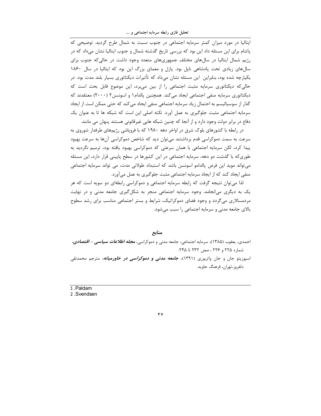تحلیل فازی رابطه سرمایه اجتماعی و ….

ایتالیا در مورد میزان کمتر سرمایه اجتماعی در جنوب نسبت به شمال طرح گردید. توضیحی که پاتنام برای این مسئله داد این بود که بررسی تاریخ گذشته شمال و جنوب ایتالیا نشان میداد که در رژیم شمال ایتالیا در سالهای مختلف جمهوریهای متعدد وجود داشت در حالیکه جنوب برای سال های زیادی تحت پادشاهی ناپل بود. پازل و معمای بزرگ این بود که ایتالیا در سال ۱۸۶۰ یکپارچه شده بود، بنابراین این مسئله نشان میداد که تأثیرات دیکتاتوری بسیار بلند مدت بود. در حالی که دیکتاتوری سرمایه مثبت اجتماعی را از بین میبرد، این موضوع قابل بحث است که دیکتاتوری سرمایه منفی اجتماعی ایجاد می کند. همچنین پالدام۱ و اسونسن۲ (۲۰۰۰) معتقدند که گذار از سوسیالیسم به احتمال زیاد سرمایه اجتماعی منفی ایجاد می کند که حتی ممکن است از ایجاد سرمایه اجتماعی مثبت جلوگیری به عمل آورد. نکته اصلی این است که شبکه ها تا به عنوان یک دفاع در برابر دولت وجود دارد و از آنجا که چنین شبکه هایی غیرقانونی هستند پنهان می مانند.

در رابطه با کشورهای بلوک شرق در اواخر دهه ۱۹۸۰ که با فروپاشی رژیمهای طرفدار شوروی به سرعت به سمت دموکراسی قدم برداشتند می توان دید که شاخص دموکراسی آنها به سرعت بهبود پیدا کرد، لکن سرمایه اجتماعی با همان سرعتی که دموکراسی بهبود یافته بود، ترمیم نگردید به طوری که با گذشت دو دهه، سرمایه اجتماعی در این کشورها در سطح پایینی قرار دارد، این مسئله می تواند موید این فرض پالدامو اسونسن باشد که استبداد طولانی مدت، می تواند سرمایه اجتماعی منفی ایجاد کند که از ایجاد سرمایه اجتماعی مثبت جلوگیری به عمل میآورد.

لذا می توان نتیجه گرفت که رابطه سرمایه اجتماعی و دموکراسی رابطهای دو سویه است که هر یک به دیگری می انجامد. وجود سرمایه اجتماعی منجر به شکل گیری جامعه مدنی و در نهایت مردمسالاری میگردد و وجود فضای دموکراتیک، شرایط و بستر اجتماعی مناسب برای رشد سطوح بالای جامعه مدنی و سرمایه اجتماعی را سبب میشود.

منابع

احمدی، یعقوب (۱۳۸۵)، سرمایه اجتماعی، جامعه مدنی و دموکراسی، *مجله اطلاعات سیاسی – اقتصادی،* شماره ٢٢٥ و ٢٢٤ ، صص ٢٣٢ تا ٢۴۵.

اسپوزیتو جان و جان واتربوری (۱۳۹۱)، *جامعه مدنی و دموکراسی در خاورمیانه،* مترجم محمدتقی دلفروز،تهران، فرهنگ جاويد.

1.Paldam

2.Svendsen

 $\mathbf{y}$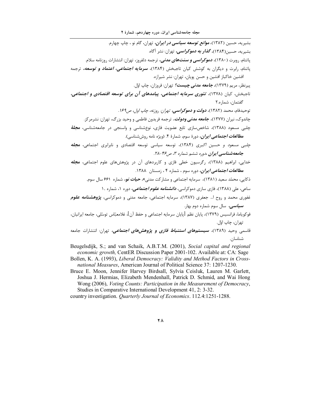مجله جامعهشناسی ایران، دوره چهاردهم، شمارهٔ ۲

بشيريه، حسين (١٣٨٢)، *موانع توسعه سياسي در ايران،* تهران، گام نو ، چاپ چهارم. بشیریه، حسین(۱۳۸۴)، *گذار به دموکراسی،* تهران: نشر آگاه. یاتنام، <sub>د</sub>وبرت (۱۳۸۰)، *دموکراسی و سنتهای مدنی،* ترجمه دلفروز، تهران: انتشارات روزنامه سلام. پاتنام، رابرت و دیگران به کوشش کیان تاجبخش (۱۳۸۴)، **سرم***ایه اجتماعی، اعتماد و توسعه،* ترجمه افشين خاكباز افشين وحسن يويان، تهران: نشر شيرازه. پيرنظر، مريم (١٣٧٩)، *جامعه مدني چيست؟* تهران: فروزان، چاپ اوّل. تاجیخش، کپان (۱۳۷۸)، تئوری سرم*ایه اجتماعی، پیامدهای آن برای توسعه اقتصادی و اجتماعی،* گفتمان، شماره.۲ توحيدفام، محمد (١٣٨٢)، **دولت و دموكراسب**ي، تهران: روزنه، چاپ اول، ص١۶٩. چاندوک، نیران (۱۳۷۷)، *جامعه مدنی ودولت،* ترجمه فریدون فاطمی و وحید بزرگ، تهران: نشرمرکز. چلبی مسعود (۱۳۸۸)، شاخصسازی تابع عضویت فازی، نوعشناسی و واسنجی در جامعهشناسی، مجلهٔ **م***طالعات اجتماعی ایران،* دورهٔ سوم، شمارهٔ ۴. (ویژه نامه روششناسی). چلبی مسعود و حسین اکبری (۱۳۸۴)، توسعه سیاسی توسعه اقتصادی و نابرابری اجتماعی، مجله جامعه شناسی ایران ،دوره ششم شماره ۳، ص۴۶-۲۸. خدایی، ابراهیم (۱۳۸۸)، رگرسیون خطی فازی و کاربردهای آن در پژوهشهای علوم اجتماعی، م*جله* م*طالعات اجتماعی ایران،* دوره سوم ، شماره ۴ ، زمستان ۱۳۸۸. ذکایی، محمّد سعید (۱۳۸۱)، سرمایه اجتماعی و مشارکت مدنی»، *حیات نو،* شماره ۶۶۱ سال سوم. ساعی، علی (۱۳۸۸)، فازی سازی دموکراسی، *دانشنامه علوم اجتماعی،* دوره ۱، شماره ۱۰ .<br>غفوری محمد و روح ا… جعفری (۱۳۸۷)، سرمایه اجتماعی، جامعه مدنی و دموکراسی، **پژو***هشنامه علوم* سی*اسی،* سال سوم شماره دوم بهار. فوكوياما، فرانسيس (١٣٧٩)، پايان نظم [پايان سرمايه اجتماعي و حفظ آن]، غلامعبّاس توسّلي، جامعه ايرانيان، تهران، چاپ اوّل. قاسمی وحید (۱۳۸۹)، **سیستم***های استنباط فازی و پژوهشهای اجتماعی،* **ت**هران: انتشارات جامعه شناسان. Beugelsdijk, S.; and van Schaik, A.B.T.M. (2001), Social capital and regional *economic growth*, CentER Discussion Paper 2001-102. Available at: CA: Sage Bollen, K. A. (1993), Liberal Democracy: Validity and Method Factors in Cross-

national Measures, American Journal of Political Science 37: 1207-1230.

Bruce E. Moon, Jennifer Harvey Birdsall, Sylvia Ceisluk, Lauren M. Garlett, Joshua J. Hermias, Elizabeth Mendenhall, Patrick D. Schmid, and Wai Hong Wong (2006), Voting Counts: Participation in the Measurement of Democracy, Studies in Comparative International Development 41, 2: 3-32.

country investigation. *Quarterly Journal of Economics*. 112.4:1251-1288.

۲۸